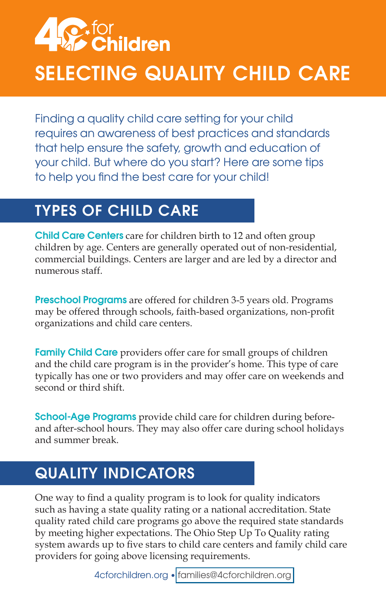# **A Sexfor**<br>**Ref** Children SELECTING QUALITY CHILD CARE

Finding a quality child care setting for your child requires an awareness of best practices and standards that help ensure the safety, growth and education of your child. But where do you start? Here are some tips to help you find the best care for your child!

## TYPES OF CHILD CARE

Child Care Centers care for children birth to 12 and often group children by age. Centers are generally operated out of non-residential, commercial buildings. Centers are larger and are led by a director and numerous staff.

Preschool Programs are offered for children 3-5 years old. Programs may be offered through schools, faith-based organizations, non-profit organizations and child care centers.

**Family Child Care** providers offer care for small groups of children and the child care program is in the provider's home. This type of care typically has one or two providers and may offer care on weekends and second or third shift.

School-Age Programs provide child care for children during beforeand after-school hours. They may also offer care during school holidays and summer break.

## QUALITY INDICATORS

One way to find a quality program is to look for quality indicators such as having a state quality rating or a national accreditation. State quality rated child care programs go above the required state standards by meeting higher expectations. The Ohio Step Up To Quality rating system awards up to five stars to child care centers and family child care providers for going above licensing requirements.